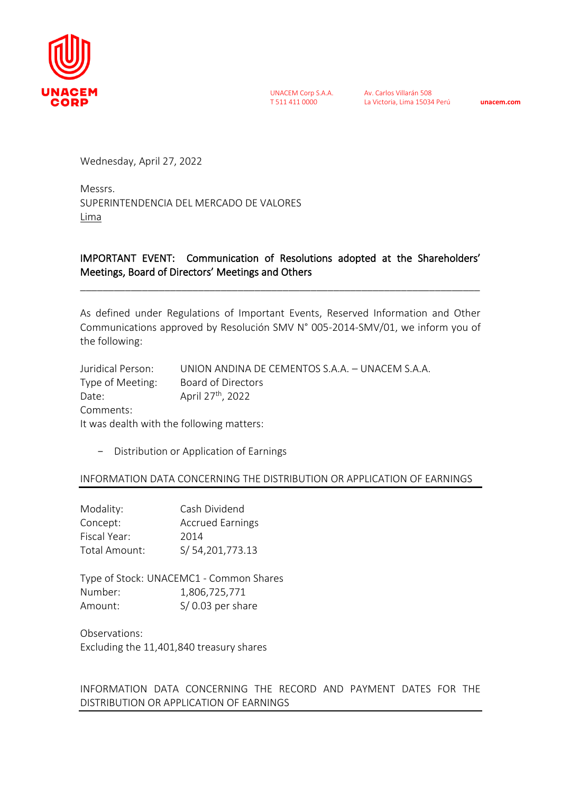

UNACEM Corp S.A.A. T 511 411 0000

Av. Carlos Villarán 508 La Victoria, Lima 15034 Perú **unacem.com**

Wednesday, April 27, 2022

Messrs. SUPERINTENDENCIA DEL MERCADO DE VALORES Lima

## IMPORTANT EVENT: Communication of Resolutions adopted at the Shareholders' Meetings, Board of Directors' Meetings and Others

\_\_\_\_\_\_\_\_\_\_\_\_\_\_\_\_\_\_\_\_\_\_\_\_\_\_\_\_\_\_\_\_\_\_\_\_\_\_\_\_\_\_\_\_\_\_\_\_\_\_\_\_\_\_\_\_\_\_\_\_\_\_\_\_\_\_\_\_\_\_\_

As defined under Regulations of Important Events, Reserved Information and Other Communications approved by Resolución SMV N° 005-2014-SMV/01, we inform you of the following:

| Juridical Person:                         | UNION ANDINA DE CEMENTOS S.A.A. — UNACEM S.A.A. |  |
|-------------------------------------------|-------------------------------------------------|--|
| Type of Meeting:                          | Board of Directors                              |  |
| Date:                                     | April 27 <sup>th</sup> , 2022                   |  |
| Comments:                                 |                                                 |  |
| It was dealth with the following matters: |                                                 |  |

- Distribution or Application of Earnings

## INFORMATION DATA CONCERNING THE DISTRIBUTION OR APPLICATION OF EARNINGS

| Modality:     | Cash Dividend           |
|---------------|-------------------------|
| Concept:      | <b>Accrued Earnings</b> |
| Fiscal Year:  | 2014                    |
| Total Amount: | S/54,201,773.13         |

Type of Stock: UNACEMC1 - Common Shares Number: 1,806,725,771 Amount: S/ 0.03 per share

Observations: Excluding the 11,401,840 treasury shares

INFORMATION DATA CONCERNING THE RECORD AND PAYMENT DATES FOR THE DISTRIBUTION OR APPLICATION OF EARNINGS